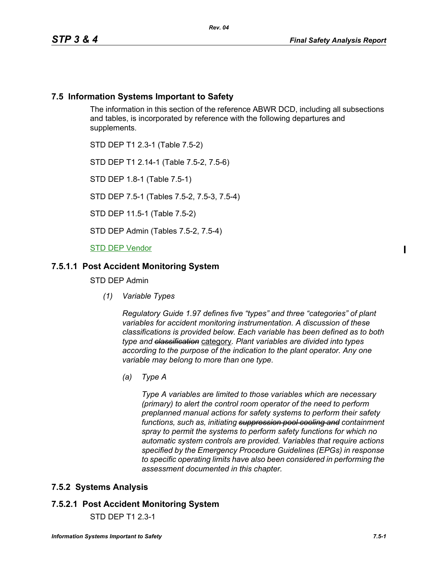### **7.5 Information Systems Important to Safety**

The information in this section of the reference ABWR DCD, including all subsections and tables, is incorporated by reference with the following departures and supplements.

STD DEP T1 2.3-1 (Table 7.5-2)

STD DEP T1 2.14-1 (Table 7.5-2, 7.5-6)

STD DEP 1.8-1 (Table 7.5-1)

STD DEP 7.5-1 (Tables 7.5-2, 7.5-3, 7.5-4)

STD DEP 11.5-1 (Table 7.5-2)

STD DEP Admin (Tables 7.5-2, 7.5-4)

**STD DEP Vendor** 

### **7.5.1.1 Post Accident Monitoring System**

STD DEP Admin

*(1) Variable Types*

*Regulatory Guide 1.97 defines five "types" and three "categories" of plant variables for accident monitoring instrumentation. A discussion of these classifications is provided below. Each variable has been defined as to both type and classification* category*. Plant variables are divided into types according to the purpose of the indication to the plant operator. Any one variable may belong to more than one type.*

*(a) Type A*

*Type A variables are limited to those variables which are necessary (primary) to alert the control room operator of the need to perform preplanned manual actions for safety systems to perform their safety functions, such as, initiating suppression pool cooling and containment spray to permit the systems to perform safety functions for which no automatic system controls are provided. Variables that require actions specified by the Emergency Procedure Guidelines (EPGs) in response to specific operating limits have also been considered in performing the assessment documented in this chapter.*

# **7.5.2 Systems Analysis**

# **7.5.2.1 Post Accident Monitoring System**

STD DEP T1 2.3-1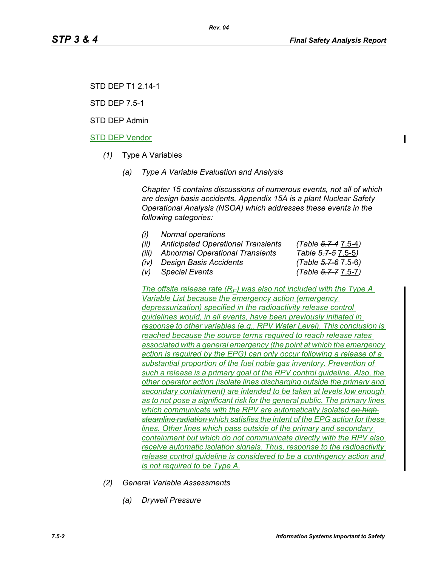STD DEP T1 2.14-1

STD DEP 7.5-1

STD DEP Admin

#### STD DEP Vendor

- *(1)* Type A Variables
	- *(a) Type A Variable Evaluation and Analysis*

*Chapter 15 contains discussions of numerous events, not all of which are design basis accidents. Appendix 15A is a plant Nuclear Safety Operational Analysis (NSOA) which addresses these events in the following categories:*

- *(i) Normal operations*
- *(ii) Anticipated Operational Transients (Table 5.7-4* 7.5-4*)*
- *(iii) Abnormal Operational Transients Table 5.7-5* 7.5-5*)*
- *(iv) Design Basis Accidents (Table 5.7-6* 7.5-6*)*
- *(v) Special Events (Table 5.7-7* 7.5-7*)*

*The offsite release rate*  $(R_F)$  *was also not included with the Type A Variable List because the emergency action (emergency depressurization) specified in the radioactivity release control guidelines would, in all events, have been previously initiated in response to other variables (e.g., RPV Water Level). This conclusion is reached because the source terms required to reach release rates associated with a general emergency (the point at which the emergency action is required by the EPG) can only occur following a release of a substantial proportion of the fuel noble gas inventory. Prevention of such a release is a primary goal of the RPV control guideline. Also, the other operator action (isolate lines discharging outside the primary and secondary containment) are intended to be taken at levels low enough as to not pose a significant risk for the general public. The primary lines which communicate with the RPV are automatically isolated on high steamline radiation which satisfies the intent of the EPG action for these lines. Other lines which pass outside of the primary and secondary containment but which do not communicate directly with the RPV also receive automatic isolation signals. Thus, response to the radioactivity release control guideline is considered to be a contingency action and is not required to be Type A.*

- *(2) General Variable Assessments*
	- *(a) Drywell Pressure*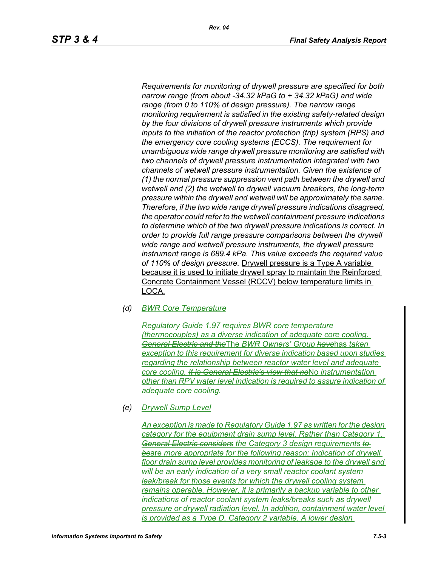*Requirements for monitoring of drywell pressure are specified for both narrow range (from about -34.32 kPaG to + 34.32 kPaG) and wide range (from 0 to 110% of design pressure). The narrow range monitoring requirement is satisfied in the existing safety-related design by the four divisions of drywell pressure instruments which provide inputs to the initiation of the reactor protection (trip) system (RPS) and the emergency core cooling systems (ECCS). The requirement for unambiguous wide range drywell pressure monitoring are satisfied with two channels of drywell pressure instrumentation integrated with two channels of wetwell pressure instrumentation. Given the existence of (1) the normal pressure suppression vent path between the drywell and wetwell and (2) the wetwell to drywell vacuum breakers, the long-term pressure within the drywell and wetwell will be approximately the same. Therefore, if the two wide range drywell pressure indications disagreed, the operator could refer to the wetwell containment pressure indications to determine which of the two drywell pressure indications is correct. In order to provide full range pressure comparisons between the drywell wide range and wetwell pressure instruments, the drywell pressure instrument range is 689.4 kPa. This value exceeds the required value of 110% of design pressure.* Drywell pressure is a Type A variable because it is used to initiate drywell spray to maintain the Reinforced Concrete Containment Vessel (RCCV) below temperature limits in LOCA.

*(d) BWR Core Temperature*

*Regulatory Guide 1.97 requires BWR core temperature (thermocouples) as a diverse indication of adequate core cooling. General Electric and the*The *BWR Owners' Group have*has *taken exception to this requirement for diverse indication based upon studies regarding the relationship between reactor water level and adequate core cooling. It is General Electric's view that no*No *instrumentation other than RPV water level indication is required to assure indication of adequate core cooling.*

*(e) Drywell Sump Level*

*An exception is made to Regulatory Guide 1.97 as written for the design category for the equipment drain sump level. Rather than Category 1, General Electric considers the Category 3 design requirements to be*are *more appropriate for the following reason: Indication of drywell floor drain sump level provides monitoring of leakage to the drywell and will be an early indication of a very small reactor coolant system leak/break for those events for which the drywell cooling system remains operable. However, it is primarily a backup variable to other indications of reactor coolant system leaks/breaks such as drywell pressure or drywell radiation level. In addition, containment water level is provided as a Type D, Category 2 variable. A lower design*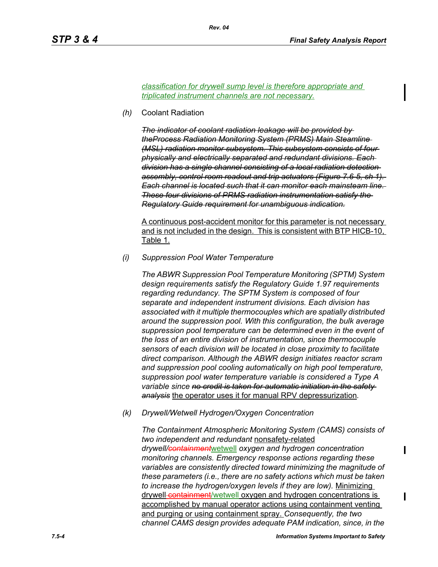*classification for drywell sump level is therefore appropriate and triplicated instrument channels are not necessary.*

*Rev. 04*

*(h)* Coolant Radiation

*The indicator of coolant radiation leakage will be provided by theProcess Radiation Monitoring System (PRMS) Main Steamline (MSL) radiation monitor subsystem. This subsystem consists of four physically and electrically separated and redundant divisions. Each division has a single channel consisting of a local radiation detection assembly, control room readout and trip actuators (Figure 7.6-5, sh 1). Each channel is located such that it can monitor each mainsteam line. These four divisions of PRMS radiation instrumentation satisfy the Regulatory Guide requirement for unambiguous indication.*

A continuous post-accident monitor for this parameter is not necessary and is not included in the design. This is consistent with BTP HICB-10, Table 1.

*(i) Suppression Pool Water Temperature*

*The ABWR Suppression Pool Temperature Monitoring (SPTM) System design requirements satisfy the Regulatory Guide 1.97 requirements regarding redundancy. The SPTM System is composed of four separate and independent instrument divisions. Each division has associated with it multiple thermocouples which are spatially distributed around the suppression pool. With this configuration, the bulk average suppression pool temperature can be determined even in the event of the loss of an entire division of instrumentation, since thermocouple sensors of each division will be located in close proximity to facilitate direct comparison. Although the ABWR design initiates reactor scram and suppression pool cooling automatically on high pool temperature, suppression pool water temperature variable is considered a Type A variable since no credit is taken for automatic initiation in the safety analysis* the operator uses it for manual RPV depressurization*.*

*(k) Drywell/Wetwell Hydrogen/Oxygen Concentration*

*The Containment Atmospheric Monitoring System (CAMS) consists of two independent and redundant* nonsafety-related *drywell/containment*wetwell *oxygen and hydrogen concentration monitoring channels. Emergency response actions regarding these variables are consistently directed toward minimizing the magnitude of these parameters (i.e., there are no safety actions which must be taken to increase the hydrogen/oxygen levels if they are low).* Minimizing drywell-containment/wetwell oxygen and hydrogen concentrations is accomplished by manual operator actions using containment venting and purging or using containment spray. *Consequently, the two channel CAMS design provides adequate PAM indication, since, in the*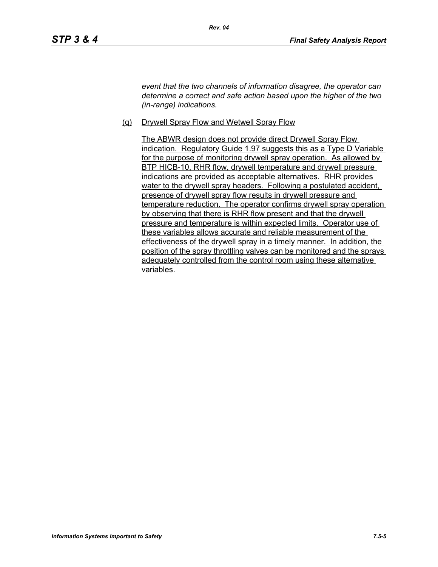*event that the two channels of information disagree, the operator can determine a correct and safe action based upon the higher of the two (in-range) indications.*

(q) Drywell Spray Flow and Wetwell Spray Flow

The ABWR design does not provide direct Drywell Spray Flow indication. Regulatory Guide 1.97 suggests this as a Type D Variable for the purpose of monitoring drywell spray operation. As allowed by BTP HICB-10, RHR flow, drywell temperature and drywell pressure indications are provided as acceptable alternatives. RHR provides water to the drywell spray headers. Following a postulated accident, presence of drywell spray flow results in drywell pressure and temperature reduction. The operator confirms drywell spray operation by observing that there is RHR flow present and that the drywell pressure and temperature is within expected limits. Operator use of these variables allows accurate and reliable measurement of the effectiveness of the drywell spray in a timely manner. In addition, the position of the spray throttling valves can be monitored and the sprays adequately controlled from the control room using these alternative variables.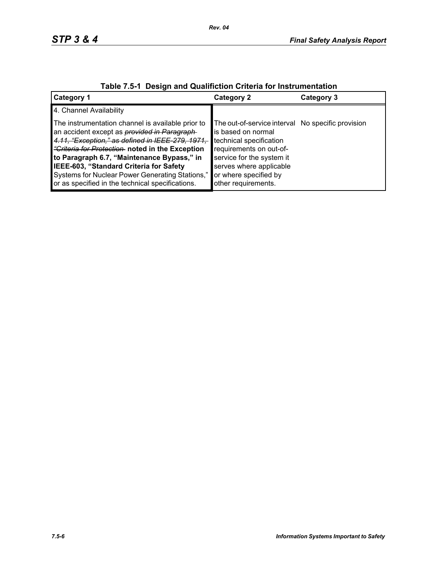| $\frac{1}{2}$ avic $\frac{1}{2}$ . Design and Quannonon Unicha for modular differentiation                                                                                                                                                                                                                                                                                                                            |                                                                                                                                                                                                                                       |            |  |  |
|-----------------------------------------------------------------------------------------------------------------------------------------------------------------------------------------------------------------------------------------------------------------------------------------------------------------------------------------------------------------------------------------------------------------------|---------------------------------------------------------------------------------------------------------------------------------------------------------------------------------------------------------------------------------------|------------|--|--|
| <b>Category 1</b>                                                                                                                                                                                                                                                                                                                                                                                                     | Category 2                                                                                                                                                                                                                            | Category 3 |  |  |
| 4. Channel Availability                                                                                                                                                                                                                                                                                                                                                                                               |                                                                                                                                                                                                                                       |            |  |  |
| The instrumentation channel is available prior to<br>an accident except as <i>provided in Paragraph</i><br>4.11, "Exception," as defined in IEEE-279, 1971,<br><i>"Criteria for Protection</i> noted in the Exception<br>to Paragraph 6.7, "Maintenance Bypass," in<br>IEEE-603, "Standard Criteria for Safety<br>Systems for Nuclear Power Generating Stations,"<br>or as specified in the technical specifications. | The out-of-service interval No specific provision<br>is based on normal<br>technical specification<br>requirements on out-of-<br>service for the system it<br>serves where applicable<br>or where specified by<br>other requirements. |            |  |  |

# **Table 7.5-1 Design and Qualifiction Criteria for Instrumentation**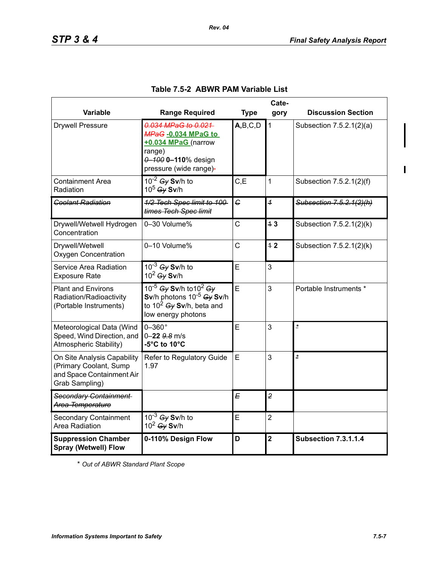$\blacksquare$ 

|                                                                                                      | Cate-                                                                                                                                            |             |                         |                             |  |
|------------------------------------------------------------------------------------------------------|--------------------------------------------------------------------------------------------------------------------------------------------------|-------------|-------------------------|-----------------------------|--|
| <b>Variable</b>                                                                                      | <b>Range Required</b>                                                                                                                            | <b>Type</b> | gory                    | <b>Discussion Section</b>   |  |
| <b>Drywell Pressure</b>                                                                              | 0.034 MPaG to 0.021<br>MPaG-0.034 MPaG to<br>+0.034 MPaG (narrow<br>range)<br>0-100 0-110% design<br>pressure (wide range)-                      | A,B,C,D     | $\mathbf{1}$            | Subsection 7.5.2.1(2)(a)    |  |
| Containment Area<br>Radiation                                                                        | $10^{-2}$ Gy Sv/h to<br>10 <sup>5</sup> Gy Sv/h                                                                                                  | C, E        | $\mathbf{1}$            | Subsection 7.5.2.1(2)(f)    |  |
| <b>Coolant Radiation</b>                                                                             | 1/2 Tech Spec limit to 100-<br>times Tech Spec limit                                                                                             | $\epsilon$  | $\overline{1}$          | Subsection 7.5.2.1(2)(h)    |  |
| Drywell/Wetwell Hydrogen<br>Concentration                                                            | 0-30 Volume%                                                                                                                                     | C           | 43                      | Subsection 7.5.2.1(2)(k)    |  |
| Drywell/Wetwell<br><b>Oxygen Concentration</b>                                                       | 0-10 Volume%                                                                                                                                     | C           | 42                      | Subsection 7.5.2.1(2)(k)    |  |
| Service Area Radiation<br><b>Exposure Rate</b>                                                       | $10^{-3}$ Gy Sv/h to<br>$10^2$ Gy Sv/h                                                                                                           | E           | 3                       |                             |  |
| <b>Plant and Environs</b><br>Radiation/Radioactivity<br>(Portable Instruments)                       | 10 <sup>-5</sup> Gy Sv/h to 10 <sup>2</sup> Gy<br>Sv/h photons $10^{-5}$ Gy Sv/h<br>to 10 <sup>2</sup> $Gy$ Sv/h, beta and<br>low energy photons | E           | 3                       | Portable Instruments *      |  |
| Meteorological Data (Wind<br>Speed, Wind Direction, and<br>Atmospheric Stability)                    | $0-360^\circ$<br>$0 - 22$ $9.8$ m/s<br>-5°C to 10°C                                                                                              | E           | 3                       | $\overline{\phantom{a}}$    |  |
| On Site Analysis Capability<br>(Primary Coolant, Sump<br>and Space Containment Air<br>Grab Sampling) | Refer to Regulatory Guide<br>1.97                                                                                                                | E           | 3                       | $\star$                     |  |
| Secondary Containment<br>Area Temperature                                                            |                                                                                                                                                  | E           | $\overline{2}$          |                             |  |
| <b>Secondary Containment</b><br>Area Radiation                                                       | $10^{-3}$ Gy Sv/h to<br>$10^2$ Gy Sv/h                                                                                                           | E           | $\overline{2}$          |                             |  |
| <b>Suppression Chamber</b><br><b>Spray (Wetwell) Flow</b>                                            | 0-110% Design Flow                                                                                                                               | D           | $\overline{\mathbf{2}}$ | <b>Subsection 7.3.1.1.4</b> |  |

### **Table 7.5-2 ABWR PAM Variable List**

*Rev. 04*

\* *Out of ABWR Standard Plant Scope*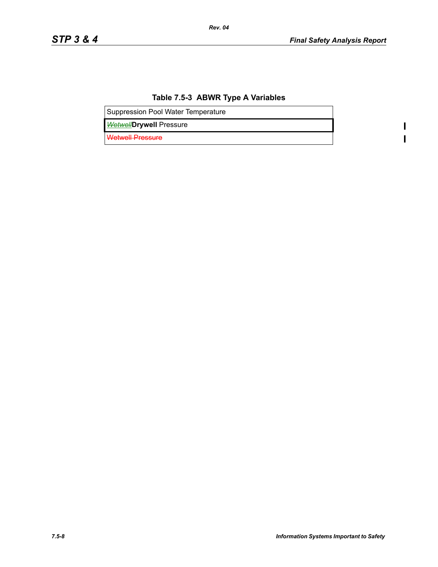$\mathbf{l}$  $\overline{\mathbf{I}}$ 

# **Table 7.5-3 ABWR Type A Variables**

*Rev. 04*

Suppression Pool Water Temperature

*Wetwell***Drywell** Pressure

Wetwell Pressure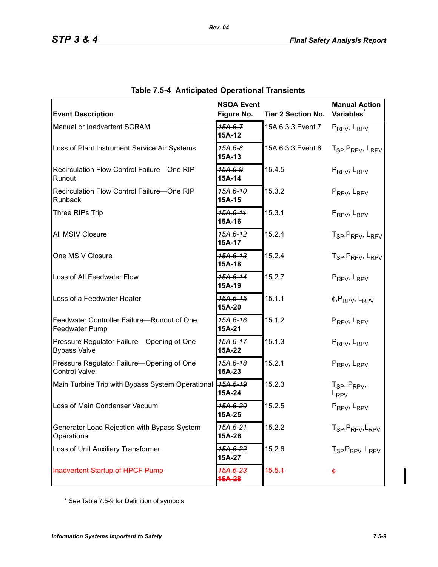| <b>Event Description</b>                                            | <b>NSOA Event</b><br>Figure No. | <b>Tier 2 Section No.</b> | <b>Manual Action</b><br><b>Variables</b>                 |
|---------------------------------------------------------------------|---------------------------------|---------------------------|----------------------------------------------------------|
| Manual or Inadvertent SCRAM                                         | $15A.6 - 7$<br>15A-12           | 15A.6.3.3 Event 7         | PRPV, LRPV                                               |
| Loss of Plant Instrument Service Air Systems                        | <del>15A.6-8</del><br>15A-13    | 15A.6.3.3 Event 8         | T <sub>SP</sub> , P <sub>RPV</sub> , L <sub>RPV</sub>    |
| Recirculation Flow Control Failure-One RIP<br>Runout                | 15А.6-9<br>15A-14               | 15.4.5                    | PRPV, LRPV                                               |
| Recirculation Flow Control Failure-One RIP<br>Runback               | 15A.6-10<br>15A-15              | 15.3.2                    | PRPV, LRPV                                               |
| Three RIPs Trip                                                     | 15A.6-11<br>15A-16              | 15.3.1                    | PRPV, LRPV                                               |
| All MSIV Closure                                                    | 15A.6-12<br>15A-17              | 15.2.4                    | T <sub>SP</sub> , P <sub>RPV</sub> , L <sub>RPV</sub>    |
| One MSIV Closure                                                    | 15A.6-13<br>15A-18              | 15.2.4                    | T <sub>SP</sub> , P <sub>RPV</sub> , L <sub>RPV</sub>    |
| Loss of All Feedwater Flow                                          | 15A.6-14<br>15A-19              | 15.2.7                    | PRPV, LRPV                                               |
| Loss of a Feedwater Heater                                          | 15A.6-15<br>15A-20              | 15.1.1                    | $\phi$ , PRPV, LRPV                                      |
| Feedwater Controller Failure-Runout of One<br><b>Feedwater Pump</b> | 15A.6-16<br>15A-21              | 15.1.2                    | PRPV, LRPV                                               |
| Pressure Regulator Failure-Opening of One<br><b>Bypass Valve</b>    | <del>15A.6-17</del><br>15A-22   | 15.1.3                    | PRPV, LRPV                                               |
| Pressure Regulator Failure-Opening of One<br><b>Control Valve</b>   | 15A.6-18<br>15A-23              | 15.2.1                    | PRPV, LRPV                                               |
| Main Turbine Trip with Bypass System Operational 45A.6-19           | 15A-24                          | 15.2.3                    | T <sub>SP</sub> , P <sub>RPV</sub> ,<br>L <sub>RPV</sub> |
| Loss of Main Condenser Vacuum                                       | <del>15A.6-20</del><br>15A-25   | 15.2.5                    | PRPV, LRPV                                               |
| Generator Load Rejection with Bypass System<br>Operational          | 15A.6-21<br>15A-26              | 15.2.2                    | T <sub>SP</sub> , P <sub>RPV</sub> , L <sub>RPV</sub>    |
| Loss of Unit Auxiliary Transformer                                  | <del>15A.6-22</del><br>15A-27   | 15.2.6                    | T <sub>SP</sub> , P <sub>RPV</sub> , L <sub>RPV</sub>    |
| Inadvertent Startup of HPCF Pump                                    | 15A.6-23<br><del>15A-28</del>   | 15.5.1                    | $\ddot{\phi}$                                            |

|  | <b>Table 7.5-4 Anticipated Operational Transients</b> |  |  |
|--|-------------------------------------------------------|--|--|
|--|-------------------------------------------------------|--|--|

*Rev. 04*

\* See Table 7.5-9 for Definition of symbols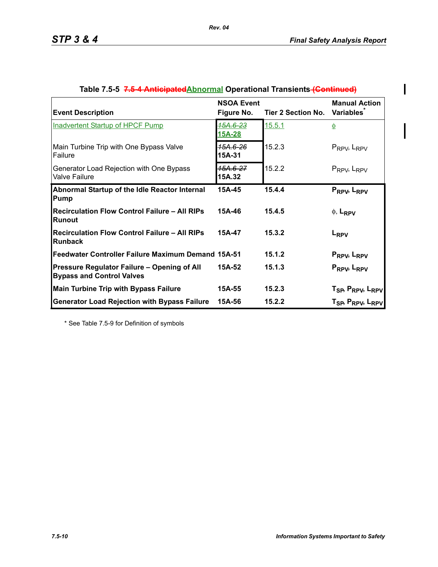$\begin{array}{c} \hline \end{array}$ 

 $\overline{\phantom{a}}$ 

| <b>Event Description</b>                                                        | <b>NSOA Event</b><br>Figure No. | Tier 2 Section No. | <b>Manual Action</b><br><b>Variables</b>                                                                       |
|---------------------------------------------------------------------------------|---------------------------------|--------------------|----------------------------------------------------------------------------------------------------------------|
| <b>Inadvertent Startup of HPCF Pump</b>                                         | 15A.6-23<br>15A-28              | 15.5.1             |                                                                                                                |
| Main Turbine Trip with One Bypass Valve<br>Failure                              | <del>15A.6-26</del><br>15A-31   | 15.2.3             | $P_{RPV}$ , $L_{RPV}$                                                                                          |
| Generator Load Rejection with One Bypass<br><b>Valve Failure</b>                | <del>15A.6-27</del><br>15A.32   | 15.2.2             | $P_{RPV}$ , $L_{RPV}$                                                                                          |
| Abnormal Startup of the Idle Reactor Internal<br>Pump                           | 15A-45                          | 15.4.4             | PRPV, LRPV                                                                                                     |
| <b>Recirculation Flow Control Failure - All RIPs</b><br>IRunout                 | 15A-46                          | 15.4.5             | $\phi$ , L <sub>RPV</sub>                                                                                      |
| Recirculation Flow Control Failure - All RIPs<br><b>Runback</b>                 | 15A-47                          | 15.3.2             | L <sub>RPV</sub>                                                                                               |
| Feedwater Controller Failure Maximum Demand 15A-51                              |                                 | 15.1.2             | P <sub>RPV</sub> , L <sub>RPV</sub>                                                                            |
| Pressure Regulator Failure - Opening of All<br><b>Bypass and Control Valves</b> | 15A-52                          | 15.1.3             | PRPV, LRPV                                                                                                     |
| <b>Main Turbine Trip with Bypass Failure</b>                                    | 15A-55                          | 15.2.3             |                                                                                                                |
| <b>Generator Load Rejection with Bypass Failure</b>                             | 15A-56                          | 15.2.2             | T <sub>SP</sub> , P <sub>RPV</sub> , L <sub>RPV</sub><br>T <sub>SP</sub> , P <sub>RPV</sub> , L <sub>RPV</sub> |

| Table 7.5-5 7.6-4 Anticipated Abnormal Operational Transients (Continued) |  |  |
|---------------------------------------------------------------------------|--|--|
|                                                                           |  |  |

*Rev. 04*

\* See Table 7.5-9 for Definition of symbols